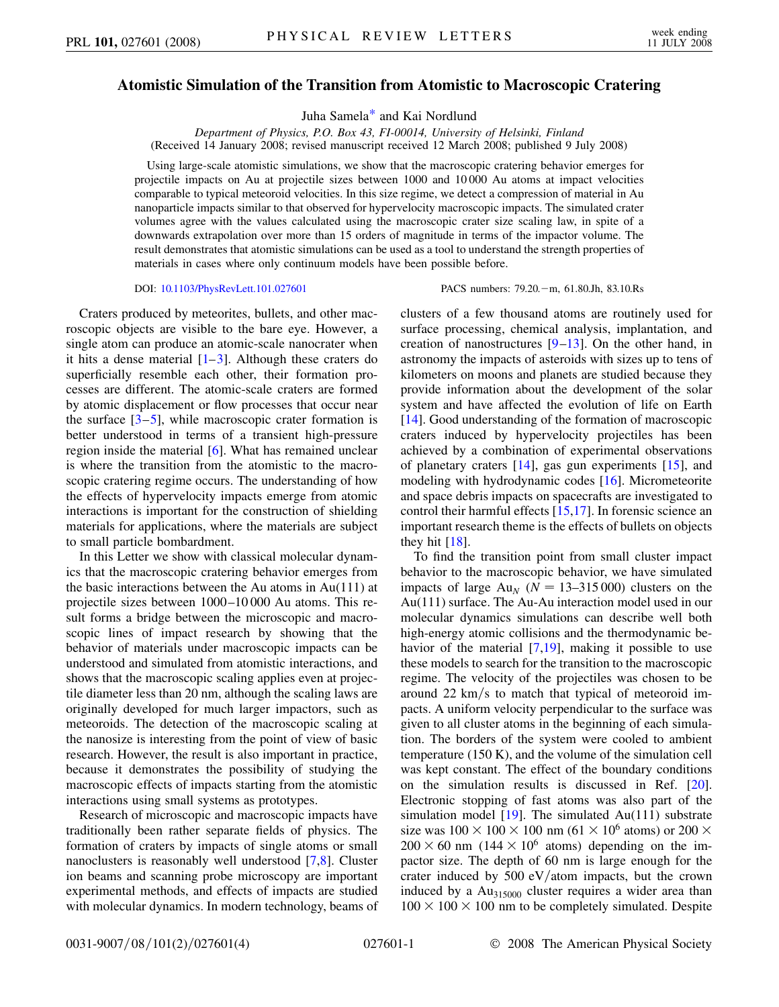## <span id="page-0-0"></span>**Atomistic Simulation of the Transition from Atomistic to Macroscopic Cratering**

Juha Samel[a\\*](#page-3-0) and Kai Nordlund

*Department of Physics, P.O. Box 43, FI-00014, University of Helsinki, Finland* (Received 14 January 2008; revised manuscript received 12 March 2008; published 9 July 2008)

Using large-scale atomistic simulations, we show that the macroscopic cratering behavior emerges for projectile impacts on Au at projectile sizes between 1000 and 10 000 Au atoms at impact velocities comparable to typical meteoroid velocities. In this size regime, we detect a compression of material in Au nanoparticle impacts similar to that observed for hypervelocity macroscopic impacts. The simulated crater volumes agree with the values calculated using the macroscopic crater size scaling law, in spite of a downwards extrapolation over more than 15 orders of magnitude in terms of the impactor volume. The result demonstrates that atomistic simulations can be used as a tool to understand the strength properties of materials in cases where only continuum models have been possible before.

DOI: [10.1103/PhysRevLett.101.027601](http://dx.doi.org/10.1103/PhysRevLett.101.027601) PACS numbers: 79.20. - m, 61.80.Jh, 83.10.Rs

Craters produced by meteorites, bullets, and other macroscopic objects are visible to the bare eye. However, a single atom can produce an atomic-scale nanocrater when it hits a dense material  $[1-3]$  $[1-3]$  $[1-3]$ . Although these craters do superficially resemble each other, their formation processes are different. The atomic-scale craters are formed by atomic displacement or flow processes that occur near the surface  $[3-5]$  $[3-5]$ , while macroscopic crater formation is better understood in terms of a transient high-pressure region inside the material [[6](#page-3-4)]. What has remained unclear is where the transition from the atomistic to the macroscopic cratering regime occurs. The understanding of how the effects of hypervelocity impacts emerge from atomic interactions is important for the construction of shielding materials for applications, where the materials are subject to small particle bombardment.

In this Letter we show with classical molecular dynamics that the macroscopic cratering behavior emerges from the basic interactions between the Au atoms in  $Au(111)$  at projectile sizes between 1000–10 000 Au atoms. This result forms a bridge between the microscopic and macroscopic lines of impact research by showing that the behavior of materials under macroscopic impacts can be understood and simulated from atomistic interactions, and shows that the macroscopic scaling applies even at projectile diameter less than 20 nm, although the scaling laws are originally developed for much larger impactors, such as meteoroids. The detection of the macroscopic scaling at the nanosize is interesting from the point of view of basic research. However, the result is also important in practice, because it demonstrates the possibility of studying the macroscopic effects of impacts starting from the atomistic interactions using small systems as prototypes.

Research of microscopic and macroscopic impacts have traditionally been rather separate fields of physics. The formation of craters by impacts of single atoms or small nanoclusters is reasonably well understood [[7,](#page-3-5)[8\]](#page-3-6). Cluster ion beams and scanning probe microscopy are important experimental methods, and effects of impacts are studied with molecular dynamics. In modern technology, beams of clusters of a few thousand atoms are routinely used for surface processing, chemical analysis, implantation, and creation of nanostructures  $[9-13]$  $[9-13]$  $[9-13]$ . On the other hand, in astronomy the impacts of asteroids with sizes up to tens of kilometers on moons and planets are studied because they provide information about the development of the solar system and have affected the evolution of life on Earth [\[14\]](#page-3-9). Good understanding of the formation of macroscopic craters induced by hypervelocity projectiles has been achieved by a combination of experimental observations of planetary craters [[14](#page-3-9)], gas gun experiments [\[15\]](#page-3-10), and modeling with hydrodynamic codes [[16](#page-3-11)]. Micrometeorite and space debris impacts on spacecrafts are investigated to control their harmful effects [[15](#page-3-10),[17](#page-3-12)]. In forensic science an important research theme is the effects of bullets on objects they hit  $[18]$  $[18]$  $[18]$ .

To find the transition point from small cluster impact behavior to the macroscopic behavior, we have simulated impacts of large  $Au_N$  ( $N = 13-315000$ ) clusters on the Au(111) surface. The Au-Au interaction model used in our molecular dynamics simulations can describe well both high-energy atomic collisions and the thermodynamic behavior of the material  $[7,19]$  $[7,19]$ , making it possible to use these models to search for the transition to the macroscopic regime. The velocity of the projectiles was chosen to be around 22 km/s to match that typical of meteoroid impacts. A uniform velocity perpendicular to the surface was given to all cluster atoms in the beginning of each simulation. The borders of the system were cooled to ambient temperature (150 K), and the volume of the simulation cell was kept constant. The effect of the boundary conditions on the simulation results is discussed in Ref. [[20\]](#page-3-15). Electronic stopping of fast atoms was also part of the simulation model  $[19]$ . The simulated Au(111) substrate size was  $100 \times 100 \times 100$  nm (61  $\times$  10<sup>6</sup> atoms) or 200  $\times$  $200 \times 60$  nm (144  $\times$  10<sup>6</sup> atoms) depending on the impactor size. The depth of 60 nm is large enough for the crater induced by 500 eV/atom impacts, but the crown induced by a  $Au_{315000}$  cluster requires a wider area than  $100 \times 100 \times 100$  nm to be completely simulated. Despite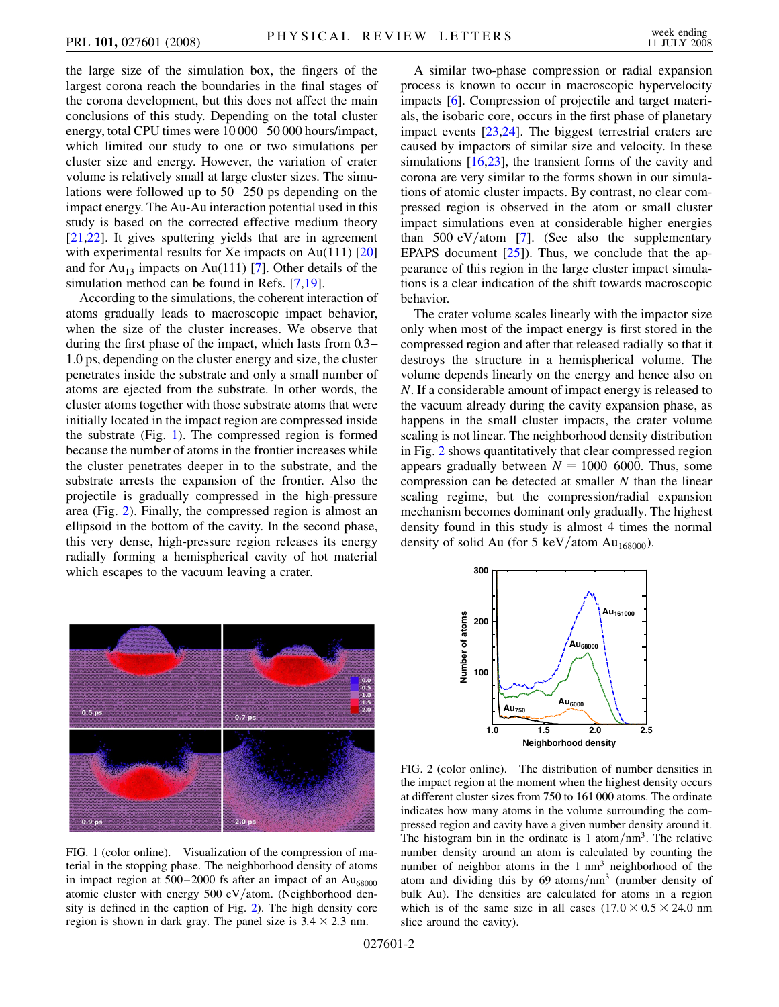the large size of the simulation box, the fingers of the largest corona reach the boundaries in the final stages of the corona development, but this does not affect the main conclusions of this study. Depending on the total cluster energy, total CPU times were 10 000–50 000 hours/impact, which limited our study to one or two simulations per cluster size and energy. However, the variation of crater volume is relatively small at large cluster sizes. The simulations were followed up to 50–250 ps depending on the impact energy. The Au-Au interaction potential used in this study is based on the corrected effective medium theory [\[21](#page-3-16)[,22\]](#page-3-17). It gives sputtering yields that are in agreement with experimental results for Xe impacts on Au(111) [\[20\]](#page-3-15) and for  $Au_{13}$  impacts on Au(111) [\[7\]](#page-3-5). Other details of the simulation method can be found in Refs. [\[7,](#page-3-5)[19\]](#page-3-14).

According to the simulations, the coherent interaction of atoms gradually leads to macroscopic impact behavior, when the size of the cluster increases. We observe that during the first phase of the impact, which lasts from 0.3– 1.0 ps, depending on the cluster energy and size, the cluster penetrates inside the substrate and only a small number of atoms are ejected from the substrate. In other words, the cluster atoms together with those substrate atoms that were initially located in the impact region are compressed inside the substrate (Fig. [1](#page-1-0)). The compressed region is formed because the number of atoms in the frontier increases while the cluster penetrates deeper in to the substrate, and the substrate arrests the expansion of the frontier. Also the projectile is gradually compressed in the high-pressure area (Fig. [2\)](#page-1-1). Finally, the compressed region is almost an ellipsoid in the bottom of the cavity. In the second phase, this very dense, high-pressure region releases its energy radially forming a hemispherical cavity of hot material which escapes to the vacuum leaving a crater.

A similar two-phase compression or radial expansion process is known to occur in macroscopic hypervelocity impacts [[6\]](#page-3-4). Compression of projectile and target materials, the isobaric core, occurs in the first phase of planetary impact events [[23](#page-3-18),[24](#page-3-19)]. The biggest terrestrial craters are caused by impactors of similar size and velocity. In these simulations [\[16](#page-3-11)[,23\]](#page-3-18), the transient forms of the cavity and corona are very similar to the forms shown in our simulations of atomic cluster impacts. By contrast, no clear compressed region is observed in the atom or small cluster impact simulations even at considerable higher energies than 500 eV/atom [[7](#page-3-5)]. (See also the supplementary EPAPS document  $[25]$  $[25]$  $[25]$ . Thus, we conclude that the appearance of this region in the large cluster impact simulations is a clear indication of the shift towards macroscopic behavior.

The crater volume scales linearly with the impactor size only when most of the impact energy is first stored in the compressed region and after that released radially so that it destroys the structure in a hemispherical volume. The volume depends linearly on the energy and hence also on *N*. If a considerable amount of impact energy is released to the vacuum already during the cavity expansion phase, as happens in the small cluster impacts, the crater volume scaling is not linear. The neighborhood density distribution in Fig. [2](#page-1-1) shows quantitatively that clear compressed region appears gradually between  $N = 1000-6000$ . Thus, some compression can be detected at smaller *N* than the linear scaling regime, but the compression/radial expansion mechanism becomes dominant only gradually. The highest density found in this study is almost 4 times the normal density of solid Au (for 5 keV/atom Au<sub>168000</sub>).

<span id="page-1-0"></span>

FIG. 1 (color online). Visualization of the compression of material in the stopping phase. The neighborhood density of atoms in impact region at  $500-2000$  fs after an impact of an  $Au_{68000}$ atomic cluster with energy 500 eV/atom. (Neighborhood density is defined in the caption of Fig. [2](#page-1-1)). The high density core region is shown in dark gray. The panel size is  $3.4 \times 2.3$  nm.

<span id="page-1-1"></span>

FIG. 2 (color online). The distribution of number densities in the impact region at the moment when the highest density occurs at different cluster sizes from 750 to 161 000 atoms. The ordinate indicates how many atoms in the volume surrounding the compressed region and cavity have a given number density around it. The histogram bin in the ordinate is 1 atom/nm<sup>3</sup>. The relative number density around an atom is calculated by counting the number of neighbor atoms in the 1 nm<sup>3</sup> neighborhood of the atom and dividing this by 69 atoms/nm<sup>3</sup> (number density of bulk Au). The densities are calculated for atoms in a region which is of the same size in all cases  $(17.0 \times 0.5 \times 24.0 \text{ nm})$ slice around the cavity).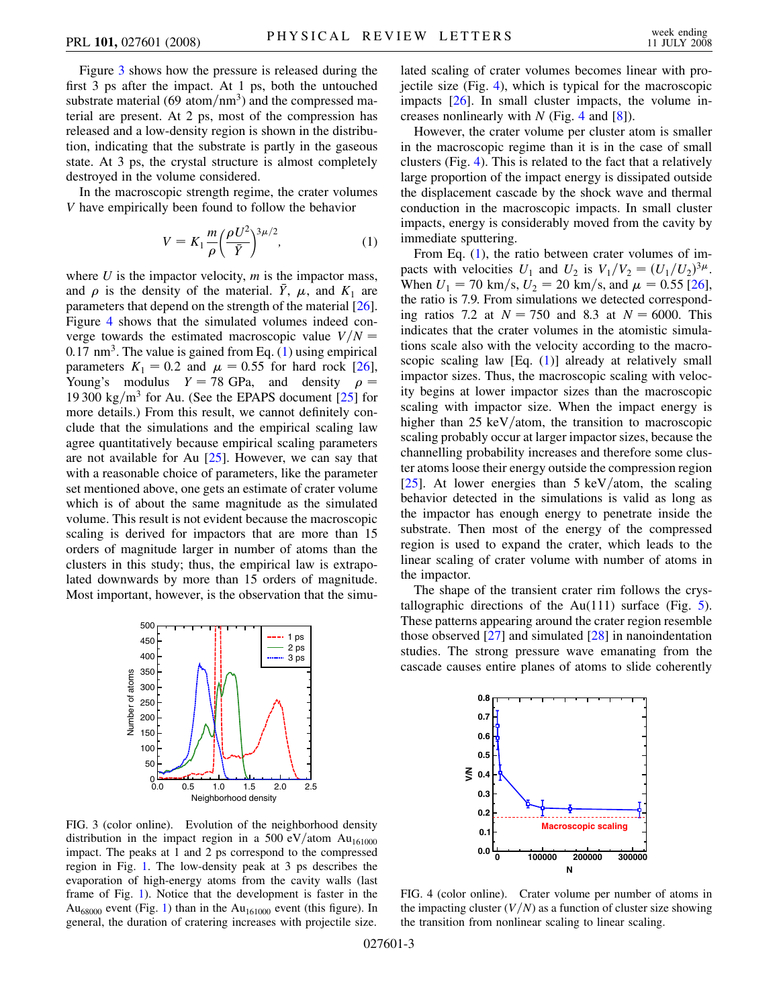Figure [3](#page-2-0) shows how the pressure is released during the first 3 ps after the impact. At 1 ps, both the untouched substrate material (69 atom/nm<sup>3</sup>) and the compressed material are present. At 2 ps, most of the compression has released and a low-density region is shown in the distribution, indicating that the substrate is partly in the gaseous state. At 3 ps, the crystal structure is almost completely destroyed in the volume considered.

<span id="page-2-2"></span>In the macroscopic strength regime, the crater volumes *V* have empirically been found to follow the behavior

$$
V = K_1 \frac{m}{\rho} \left(\frac{\rho U^2}{\bar{Y}}\right)^{3\mu/2},\tag{1}
$$

where *U* is the impactor velocity, *m* is the impactor mass, and  $\rho$  is the density of the material.  $\bar{Y}$ ,  $\mu$ , and  $K_1$  are parameters that depend on the strength of the material [[26\]](#page-3-21). Figure [4](#page-2-1) shows that the simulated volumes indeed converge towards the estimated macroscopic value  $V/N =$ 0*:*17 nm3. The value is gained from Eq. [\(1\)](#page-2-2) using empirical parameters  $K_1 = 0.2$  and  $\mu = 0.55$  for hard rock [\[26\]](#page-3-21), Young's modulus  $Y = 78$  GPa, and density  $\rho =$ 19 300 kg/m<sup>3</sup> for Au. (See the EPAPS document  $[25]$  $[25]$  $[25]$  for more details.) From this result, we cannot definitely conclude that the simulations and the empirical scaling law agree quantitatively because empirical scaling parameters are not available for Au  $[25]$ . However, we can say that with a reasonable choice of parameters, like the parameter set mentioned above, one gets an estimate of crater volume which is of about the same magnitude as the simulated volume. This result is not evident because the macroscopic scaling is derived for impactors that are more than 15 orders of magnitude larger in number of atoms than the clusters in this study; thus, the empirical law is extrapolated downwards by more than 15 orders of magnitude. Most important, however, is the observation that the simu-

<span id="page-2-0"></span>

FIG. 3 (color online). Evolution of the neighborhood density distribution in the impact region in a 500 eV/atom Au<sub>161000</sub> impact. The peaks at 1 and 2 ps correspond to the compressed region in Fig. [1](#page-1-0). The low-density peak at 3 ps describes the evaporation of high-energy atoms from the cavity walls (last frame of Fig. [1\)](#page-1-0). Notice that the development is faster in the Au<sub>68000</sub> event (Fig. [1\)](#page-1-0) than in the Au<sub>161000</sub> event (this figure). In general, the duration of cratering increases with projectile size.

lated scaling of crater volumes becomes linear with projectile size (Fig. [4](#page-2-1)), which is typical for the macroscopic impacts [\[26\]](#page-3-21). In small cluster impacts, the volume increases nonlinearly with *N* (Fig. [4](#page-2-1) and [[8\]](#page-3-6)).

However, the crater volume per cluster atom is smaller in the macroscopic regime than it is in the case of small clusters (Fig. [4\)](#page-2-1). This is related to the fact that a relatively large proportion of the impact energy is dissipated outside the displacement cascade by the shock wave and thermal conduction in the macroscopic impacts. In small cluster impacts, energy is considerably moved from the cavity by immediate sputtering.

From Eq. [\(1](#page-2-2)), the ratio between crater volumes of impacts with velocities  $U_1$  and  $U_2$  is  $V_1/V_2 = (U_1/U_2)^{3\mu}$ . When  $U_1 = 70 \text{ km/s}, U_2 = 20 \text{ km/s}, \text{ and } \mu = 0.55 \text{ [26]},$  $U_1 = 70 \text{ km/s}, U_2 = 20 \text{ km/s}, \text{ and } \mu = 0.55 \text{ [26]},$  $U_1 = 70 \text{ km/s}, U_2 = 20 \text{ km/s}, \text{ and } \mu = 0.55 \text{ [26]},$ the ratio is 7.9. From simulations we detected corresponding ratios 7.2 at  $N = 750$  and 8.3 at  $N = 6000$ . This indicates that the crater volumes in the atomistic simulations scale also with the velocity according to the macro-scopic scaling law [Eq. [\(1\)](#page-2-2)] already at relatively small impactor sizes. Thus, the macroscopic scaling with velocity begins at lower impactor sizes than the macroscopic scaling with impactor size. When the impact energy is higher than 25 keV/atom, the transition to macroscopic scaling probably occur at larger impactor sizes, because the channelling probability increases and therefore some cluster atoms loose their energy outside the compression region [\[25\]](#page-3-20). At lower energies than 5 keV/atom, the scaling behavior detected in the simulations is valid as long as the impactor has enough energy to penetrate inside the substrate. Then most of the energy of the compressed region is used to expand the crater, which leads to the linear scaling of crater volume with number of atoms in the impactor.

The shape of the transient crater rim follows the crystallographic directions of the  $Au(111)$  surface (Fig. [5\)](#page-3-22). These patterns appearing around the crater region resemble those observed  $[27]$  $[27]$  $[27]$  and simulated  $[28]$  $[28]$  $[28]$  in nanoindentation studies. The strong pressure wave emanating from the cascade causes entire planes of atoms to slide coherently

<span id="page-2-1"></span>

FIG. 4 (color online). Crater volume per number of atoms in the impacting cluster  $(V/N)$  as a function of cluster size showing the transition from nonlinear scaling to linear scaling.